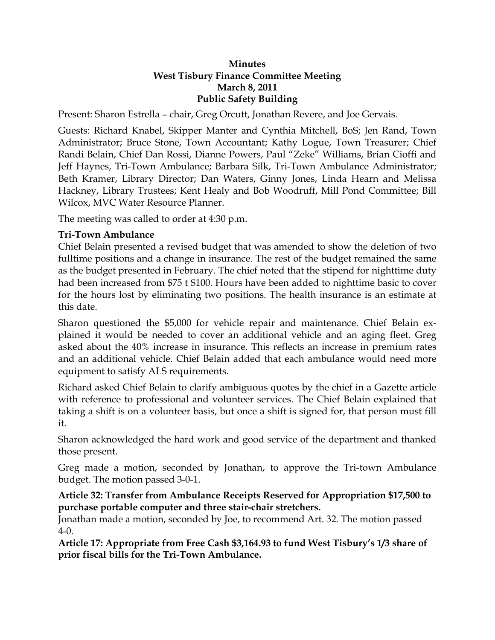#### **Minutes West Tisbury Finance Committee Meeting March 8, 2011 Public Safety Building**

Present: Sharon Estrella – chair, Greg Orcutt, Jonathan Revere, and Joe Gervais.

Guests: Richard Knabel, Skipper Manter and Cynthia Mitchell, BoS; Jen Rand, Town Administrator; Bruce Stone, Town Accountant; Kathy Logue, Town Treasurer; Chief Randi Belain, Chief Dan Rossi, Dianne Powers, Paul "Zeke" Williams, Brian Cioffi and Jeff Haynes, Tri-Town Ambulance; Barbara Silk, Tri-Town Ambulance Administrator; Beth Kramer, Library Director; Dan Waters, Ginny Jones, Linda Hearn and Melissa Hackney, Library Trustees; Kent Healy and Bob Woodruff, Mill Pond Committee; Bill Wilcox, MVC Water Resource Planner.

The meeting was called to order at 4:30 p.m.

### **Tri-Town Ambulance**

Chief Belain presented a revised budget that was amended to show the deletion of two fulltime positions and a change in insurance. The rest of the budget remained the same as the budget presented in February. The chief noted that the stipend for nighttime duty had been increased from \$75 t \$100. Hours have been added to nighttime basic to cover for the hours lost by eliminating two positions. The health insurance is an estimate at this date.

Sharon questioned the \$5,000 for vehicle repair and maintenance. Chief Belain explained it would be needed to cover an additional vehicle and an aging fleet. Greg asked about the 40% increase in insurance. This reflects an increase in premium rates and an additional vehicle. Chief Belain added that each ambulance would need more equipment to satisfy ALS requirements.

Richard asked Chief Belain to clarify ambiguous quotes by the chief in a Gazette article with reference to professional and volunteer services. The Chief Belain explained that taking a shift is on a volunteer basis, but once a shift is signed for, that person must fill it.

Sharon acknowledged the hard work and good service of the department and thanked those present.

Greg made a motion, seconded by Jonathan, to approve the Tri-town Ambulance budget. The motion passed 3-0-1.

#### **Article 32: Transfer from Ambulance Receipts Reserved for Appropriation \$17,500 to purchase portable computer and three stair-chair stretchers.**

Jonathan made a motion, seconded by Joe, to recommend Art. 32. The motion passed 4-0.

**Article 17: Appropriate from Free Cash \$3,164.93 to fund West Tisbury's 1/3 share of prior fiscal bills for the Tri-Town Ambulance.**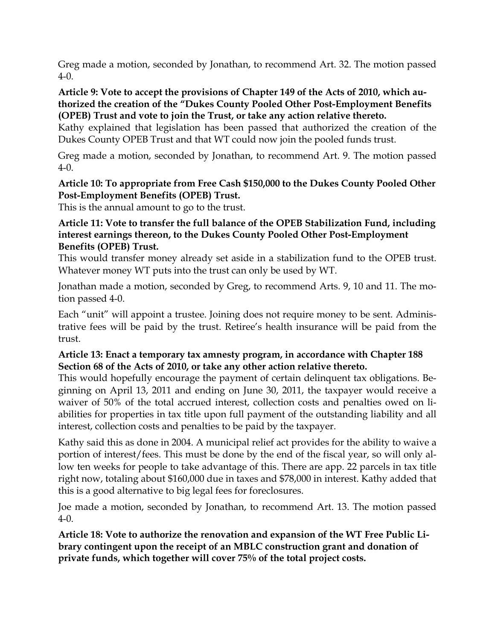Greg made a motion, seconded by Jonathan, to recommend Art. 32. The motion passed 4-0.

#### **Article 9: Vote to accept the provisions of Chapter 149 of the Acts of 2010, which authorized the creation of the "Dukes County Pooled Other Post-Employment Benefits (OPEB) Trust and vote to join the Trust, or take any action relative thereto.**

Kathy explained that legislation has been passed that authorized the creation of the Dukes County OPEB Trust and that WT could now join the pooled funds trust.

Greg made a motion, seconded by Jonathan, to recommend Art. 9. The motion passed 4-0.

### **Article 10: To appropriate from Free Cash \$150,000 to the Dukes County Pooled Other Post-Employment Benefits (OPEB) Trust.**

This is the annual amount to go to the trust.

### **Article 11: Vote to transfer the full balance of the OPEB Stabilization Fund, including interest earnings thereon, to the Dukes County Pooled Other Post-Employment Benefits (OPEB) Trust.**

This would transfer money already set aside in a stabilization fund to the OPEB trust. Whatever money WT puts into the trust can only be used by WT.

Jonathan made a motion, seconded by Greg, to recommend Arts. 9, 10 and 11. The motion passed 4-0.

Each "unit" will appoint a trustee. Joining does not require money to be sent. Administrative fees will be paid by the trust. Retiree's health insurance will be paid from the trust.

# **Article 13: Enact a temporary tax amnesty program, in accordance with Chapter 188 Section 68 of the Acts of 2010, or take any other action relative thereto.**

This would hopefully encourage the payment of certain delinquent tax obligations. Beginning on April 13, 2011 and ending on June 30, 2011, the taxpayer would receive a waiver of 50% of the total accrued interest, collection costs and penalties owed on liabilities for properties in tax title upon full payment of the outstanding liability and all interest, collection costs and penalties to be paid by the taxpayer.

Kathy said this as done in 2004. A municipal relief act provides for the ability to waive a portion of interest/fees. This must be done by the end of the fiscal year, so will only allow ten weeks for people to take advantage of this. There are app. 22 parcels in tax title right now, totaling about \$160,000 due in taxes and \$78,000 in interest. Kathy added that this is a good alternative to big legal fees for foreclosures.

Joe made a motion, seconded by Jonathan, to recommend Art. 13. The motion passed 4-0.

**Article 18: Vote to authorize the renovation and expansion of the WT Free Public Library contingent upon the receipt of an MBLC construction grant and donation of private funds, which together will cover 75% of the total project costs.**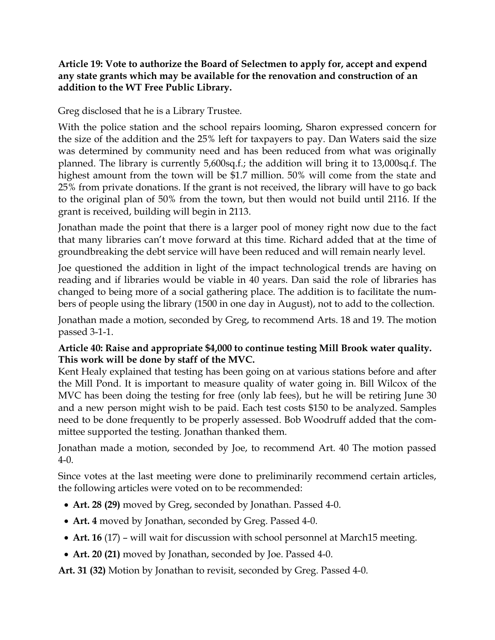### **Article 19: Vote to authorize the Board of Selectmen to apply for, accept and expend any state grants which may be available for the renovation and construction of an addition to the WT Free Public Library.**

Greg disclosed that he is a Library Trustee.

With the police station and the school repairs looming, Sharon expressed concern for the size of the addition and the 25% left for taxpayers to pay. Dan Waters said the size was determined by community need and has been reduced from what was originally planned. The library is currently 5,600sq.f.; the addition will bring it to 13,000sq.f. The highest amount from the town will be \$1.7 million. 50% will come from the state and 25% from private donations. If the grant is not received, the library will have to go back to the original plan of 50% from the town, but then would not build until 2116. If the grant is received, building will begin in 2113.

Jonathan made the point that there is a larger pool of money right now due to the fact that many libraries can't move forward at this time. Richard added that at the time of groundbreaking the debt service will have been reduced and will remain nearly level.

Joe questioned the addition in light of the impact technological trends are having on reading and if libraries would be viable in 40 years. Dan said the role of libraries has changed to being more of a social gathering place. The addition is to facilitate the numbers of people using the library (1500 in one day in August), not to add to the collection.

Jonathan made a motion, seconded by Greg, to recommend Arts. 18 and 19. The motion passed 3-1-1.

# **Article 40: Raise and appropriate \$4,000 to continue testing Mill Brook water quality. This work will be done by staff of the MVC.**

Kent Healy explained that testing has been going on at various stations before and after the Mill Pond. It is important to measure quality of water going in. Bill Wilcox of the MVC has been doing the testing for free (only lab fees), but he will be retiring June 30 and a new person might wish to be paid. Each test costs \$150 to be analyzed. Samples need to be done frequently to be properly assessed. Bob Woodruff added that the committee supported the testing. Jonathan thanked them.

Jonathan made a motion, seconded by Joe, to recommend Art. 40 The motion passed 4-0.

Since votes at the last meeting were done to preliminarily recommend certain articles, the following articles were voted on to be recommended:

- **Art. 28 (29)** moved by Greg, seconded by Jonathan. Passed 4-0.
- **Art. 4** moved by Jonathan, seconded by Greg. Passed 4-0.
- **Art. 16** (17) will wait for discussion with school personnel at March15 meeting.
- **Art. 20 (21)** moved by Jonathan, seconded by Joe. Passed 4-0.

**Art. 31 (32)** Motion by Jonathan to revisit, seconded by Greg. Passed 4-0.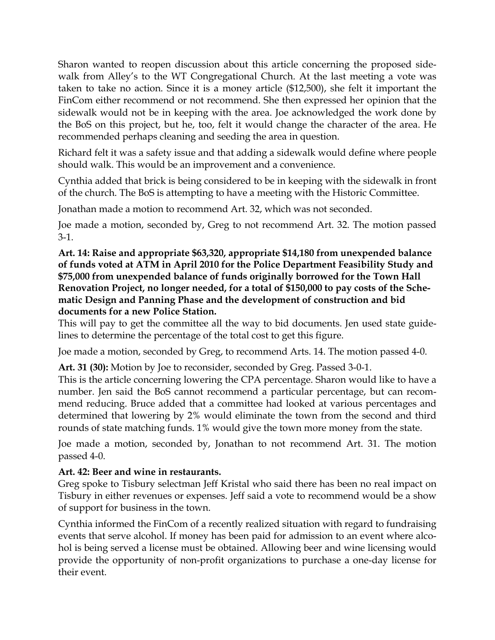Sharon wanted to reopen discussion about this article concerning the proposed sidewalk from Alley's to the WT Congregational Church. At the last meeting a vote was taken to take no action. Since it is a money article (\$12,500), she felt it important the FinCom either recommend or not recommend. She then expressed her opinion that the sidewalk would not be in keeping with the area. Joe acknowledged the work done by the BoS on this project, but he, too, felt it would change the character of the area. He recommended perhaps cleaning and seeding the area in question.

Richard felt it was a safety issue and that adding a sidewalk would define where people should walk. This would be an improvement and a convenience.

Cynthia added that brick is being considered to be in keeping with the sidewalk in front of the church. The BoS is attempting to have a meeting with the Historic Committee.

Jonathan made a motion to recommend Art. 32, which was not seconded.

Joe made a motion, seconded by, Greg to not recommend Art. 32. The motion passed 3-1.

**Art. 14: Raise and appropriate \$63,320, appropriate \$14,180 from unexpended balance of funds voted at ATM in April 2010 for the Police Department Feasibility Study and \$75,000 from unexpended balance of funds originally borrowed for the Town Hall Renovation Project, no longer needed, for a total of \$150,000 to pay costs of the Schematic Design and Panning Phase and the development of construction and bid documents for a new Police Station.** 

This will pay to get the committee all the way to bid documents. Jen used state guidelines to determine the percentage of the total cost to get this figure.

Joe made a motion, seconded by Greg, to recommend Arts. 14. The motion passed 4-0.

**Art. 31 (30):** Motion by Joe to reconsider, seconded by Greg. Passed 3-0-1.

This is the article concerning lowering the CPA percentage. Sharon would like to have a number. Jen said the BoS cannot recommend a particular percentage, but can recommend reducing. Bruce added that a committee had looked at various percentages and determined that lowering by 2% would eliminate the town from the second and third rounds of state matching funds. 1% would give the town more money from the state.

Joe made a motion, seconded by, Jonathan to not recommend Art. 31. The motion passed 4-0.

### **Art. 42: Beer and wine in restaurants.**

Greg spoke to Tisbury selectman Jeff Kristal who said there has been no real impact on Tisbury in either revenues or expenses. Jeff said a vote to recommend would be a show of support for business in the town.

Cynthia informed the FinCom of a recently realized situation with regard to fundraising events that serve alcohol. If money has been paid for admission to an event where alcohol is being served a license must be obtained. Allowing beer and wine licensing would provide the opportunity of non-profit organizations to purchase a one-day license for their event.